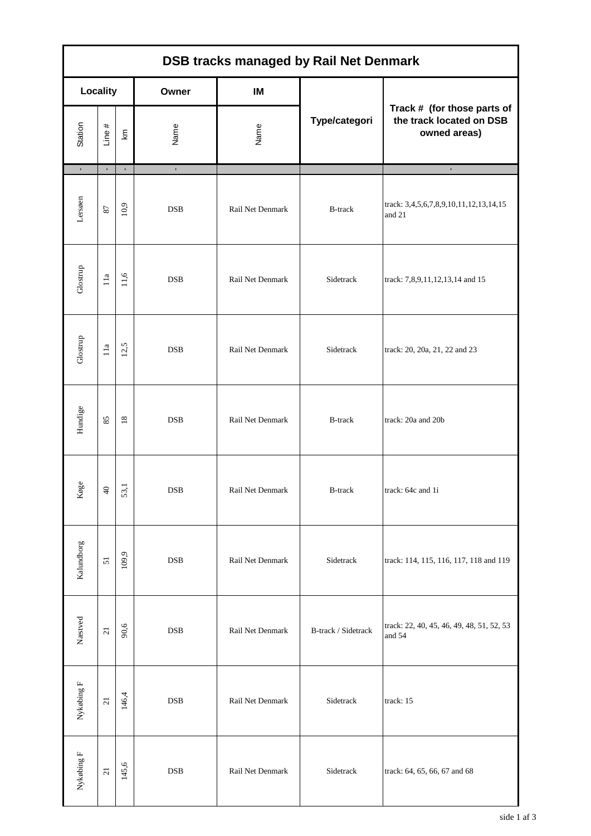| <b>DSB tracks managed by Rail Net Denmark</b> |                 |              |              |                  |                     |                                                                         |
|-----------------------------------------------|-----------------|--------------|--------------|------------------|---------------------|-------------------------------------------------------------------------|
| <b>Locality</b>                               |                 |              | Owner        | IM               |                     |                                                                         |
| Station                                       | Line #          | km           | Name         | Name             | Type/categori       | Track # (for those parts of<br>the track located on DSB<br>owned areas) |
| $\mathbf{r}$                                  | $\mathbf{r}$    | $\mathbf{r}$ | $\mathbf{r}$ |                  |                     | $\blacksquare$                                                          |
| Lersøen                                       | $\sqrt{8}$      | 10,9         | <b>DSB</b>   | Rail Net Denmark | <b>B-track</b>      | track: 3,4,5,6,7,8,9,10,11,12,13,14,15<br>and 21                        |
|                                               |                 |              |              |                  |                     |                                                                         |
| Glostrup                                      | 11a             | 11,6         | <b>DSB</b>   | Rail Net Denmark | Sidetrack           | track: 7,8,9,11,12,13,14 and 15                                         |
|                                               |                 |              |              |                  |                     |                                                                         |
| Glostrup                                      | $11a$           | 12,5         | <b>DSB</b>   | Rail Net Denmark | Sidetrack           | track: 20, 20a, 21, 22 and 23                                           |
|                                               |                 |              |              |                  |                     |                                                                         |
| Hundige                                       | 85              | $18\,$       | <b>DSB</b>   | Rail Net Denmark | <b>B-track</b>      | track: 20a and 20b                                                      |
| øge                                           |                 |              |              |                  |                     |                                                                         |
| ×                                             | $\overline{a}$  | 53,1         | <b>DSB</b>   | Rail Net Denmark | B-track             | track: 64c and 1i                                                       |
|                                               |                 |              |              |                  |                     |                                                                         |
| Kalundborg                                    | 51              | 109,9        | <b>DSB</b>   | Rail Net Denmark | Sidetrack           | track: 114, 115, 116, 117, 118 and 119                                  |
|                                               |                 |              |              |                  |                     | track: 22, 40, 45, 46, 49, 48, 51, 52, 53                               |
| Næstved                                       | $\overline{21}$ | 90,6         | <b>DSB</b>   | Rail Net Denmark | B-track / Sidetrack | and 54                                                                  |
|                                               |                 |              |              |                  |                     |                                                                         |
| Nykøbing $F$                                  | $\overline{21}$ | 146,4        | <b>DSB</b>   | Rail Net Denmark | Sidetrack           | track: 15                                                               |
|                                               |                 | 145,6        | <b>DSB</b>   | Rail Net Denmark | Sidetrack           |                                                                         |
| Nykøbing ${\rm F}$                            | $\overline{21}$ |              |              |                  |                     | track: 64, 65, 66, 67 and 68                                            |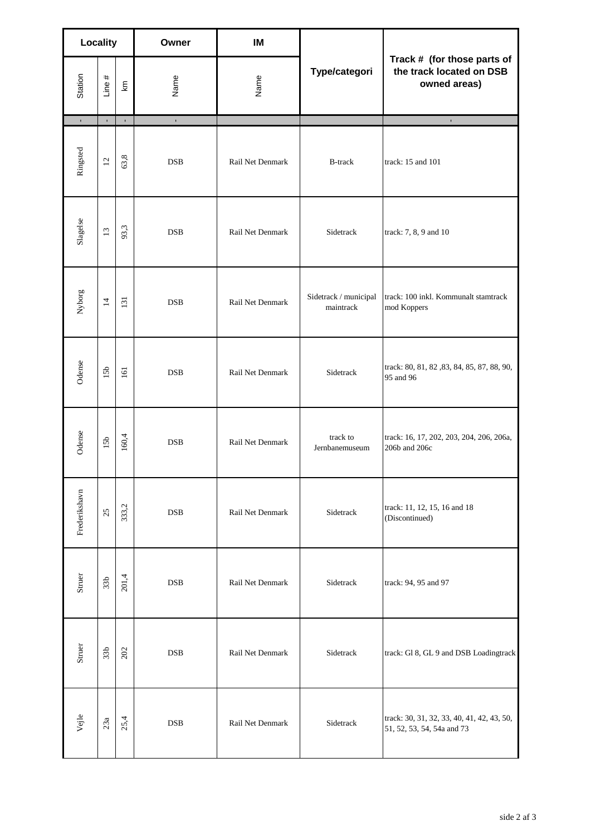| <b>Locality</b> |                 |              | Owner        | IM               |                                    |                                                                          |
|-----------------|-----------------|--------------|--------------|------------------|------------------------------------|--------------------------------------------------------------------------|
| Station         | Line $#$        | ξ            | Name         | Name             | Type/categori                      | Track # (for those parts of<br>the track located on DSB<br>owned areas)  |
| $\mathbf{r}$    | $\mathbf{r}$    | $\mathbf{r}$ | $\mathbf{r}$ |                  |                                    | $\mathbf{r}$                                                             |
| Ringsted        | 12              | 63,8         | <b>DSB</b>   | Rail Net Denmark | <b>B-track</b>                     | track: 15 and 101                                                        |
| Slagelse        | 13              | 93,3         | <b>DSB</b>   | Rail Net Denmark | Sidetrack                          | track: 7, 8, 9 and 10                                                    |
| Nyborg          | $\overline{4}$  | 131          | <b>DSB</b>   | Rail Net Denmark | Sidetrack / municipal<br>maintrack | track: 100 inkl. Kommunalt stamtrack<br>mod Koppers                      |
| Odense          | 15b             | 161          | <b>DSB</b>   | Rail Net Denmark | Sidetrack                          | track: 80, 81, 82, 83, 84, 85, 87, 88, 90,<br>95 and 96                  |
| Odense          | 15b             | 160,4        | <b>DSB</b>   | Rail Net Denmark | track to<br>Jernbanemuseum         | track: 16, 17, 202, 203, 204, 206, 206a,<br>206b and 206c                |
| Frederikshavn   | 25              | 333,2        | <b>DSB</b>   | Rail Net Denmark | Sidetrack                          | track: 11, 12, 15, 16 and 18<br>(Discontinued)                           |
| Struer          | 33 <sub>b</sub> | 201,4        | <b>DSB</b>   | Rail Net Denmark | Sidetrack                          | track: 94, 95 and 97                                                     |
| Struer          | 33 <sub>b</sub> | 202          | <b>DSB</b>   | Rail Net Denmark | Sidetrack                          | track: Gl 8, GL 9 and DSB Loadingtrack                                   |
| Vejle           | 23a             | 25,4         | <b>DSB</b>   | Rail Net Denmark | Sidetrack                          | track: 30, 31, 32, 33, 40, 41, 42, 43, 50,<br>51, 52, 53, 54, 54a and 73 |